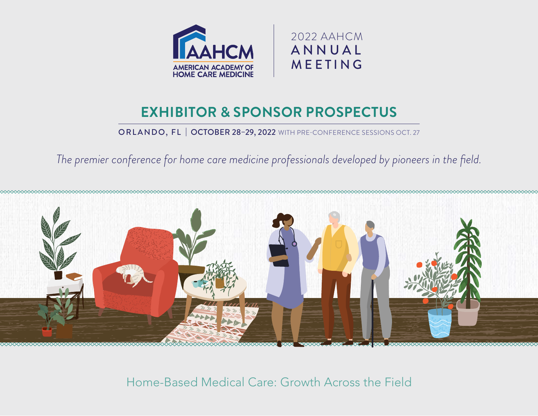



### OCTOBER 29–30, 2021 WITH PRE-CONFERENCE SESSIONS OCT. 28 **EXHIBITOR & SPONSOR PROSPECTUS**

ORLANDO, FL | OCTOBER 28-29, 2022 WITH PRE-CONFERENCE SESSIONS OCT. 27

*The premier conference for home care medicine professionals developed by pioneers in the field.*



Home-Based Medical Care: Growth Across the Field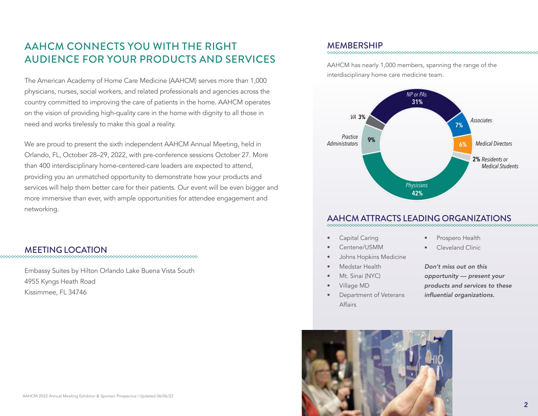### AAHCM CONNECTS YOU WITH THE RIGHT AUDIENCE FOR YOUR PRODUCTS AND SERVICES

The American Academy of Home Care Medicine (AAHCM) serves more than 1,000 physicians, nurses, social workers, and related professionals and agencies across the country committed to improving the care of patients in the home. AAHCM operates on the vision of providing high-quality care in the home with dignity to all those in need and works tirelessly to make this goal a reality.

We are proud to present the sixth independent AAHCM Annual Meeting, held in Orlando, FL, October 28–29, 2022, with pre-conference sessions October 27. More than 400 interdisciplinary home-centered-care leaders are expected to attend, providing you an unmatched opportunity to demonstrate how your products and services will help them better care for their patients. Our event will be even bigger and more immersive than ever, with ample opportunities for attendee engagement and networking.

## MEETING LOCATION

Embassy Suites by Hilton Orlando Lake Buena Vista South

4955 Kyngs Heath Road

Kissimmee, FL 34746

MEMBERSHIP

AAHCM has nearly 1,000 members, spanning the range of the interdisciplinary home care medicine team.



### AAHCM ATTRACTS LEADING ORGANIZATIONS

- Capital Caring
- Centene/USMM
- Johns Hopkins Medicine
- Medstar Health
- Mt. Sinai (NYC)
- Village MD
- Department of Veterans Affairs

Prospero Health

Cleveland Clinic

*Don't miss out on this opportunity — present your products and services to these*  influential organizations.

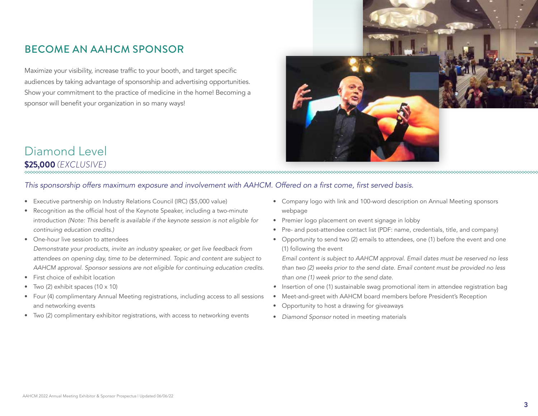### BECOME AN AAHCM SPONSOR

Maximize your visibility, increase traffic to your booth, and target specific audiences by taking advantage of sponsorship and advertising opportunities. Show your commitment to the practice of medicine in the home! Becoming a sponsor will benefit your organization in so many ways!



### Diamond Level **\$25,000** *(EXCLUSIVE)*

#### This sponsorship offers maximum exposure and involvement with AAHCM. Offered on a first come, first served basis.

- Executive partnership on Industry Relations Council (IRC) (\$5,000 value)
- Recognition as the official host of the Keynote Speaker, including a two-minute introduction (Note: This benefit is available if the keynote session is not eligible for continuing education credits.)
- One-hour live session to attendees
- Demonstrate your products, invite an industry speaker, or get live feedback from attendees on opening day, time to be determined. Topic and content are subject to AAHCM approval. Sponsor sessions are not eligible for continuing education credits.
- First choice of exhibit location
- Two  $(2)$  exhibit spaces  $(10 \times 10)$
- Four (4) complimentary Annual Meeting registrations, including access to all sessions and networking events
- Two (2) complimentary exhibitor registrations, with access to networking events
- Company logo with link and 100-word description on Annual Meeting sponsors webpage
- Premier logo placement on event signage in lobby
- Pre- and post-attendee contact list (PDF: name, credentials, title, and company)
- Opportunity to send two (2) emails to attendees, one (1) before the event and one (1) following the event

Email content is subject to AAHCM approval. Email dates must be reserved no less than two (2) weeks prior to the send date. Email content must be provided no less than one (1) week prior to the send date.

- *•* Insertion of one (1) sustainable swag promotional item in attendee registration bag
- Meet-and-greet with AAHCM board members before President's Reception
- Opportunity to host a drawing for giveaways
- *Diamond Sponsor* noted in meeting materials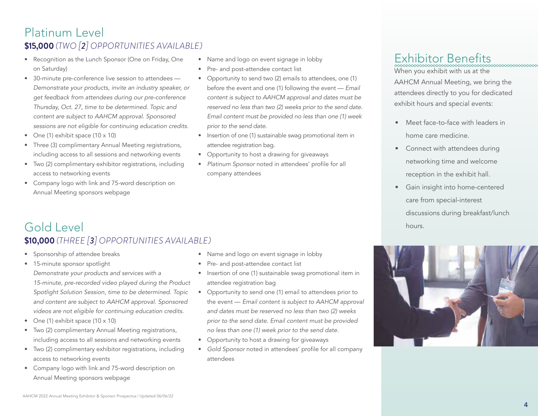### Platinum Level **\$15,000** *(TWO [2] OPPORTUNITIES AVAILABLE)*

- Recognition as the Lunch Sponsor (One on Friday, One on Saturday)
- 30-minute pre-conference live session to attendees Demonstrate your products, invite an industry speaker, or get feedback from attendees during our pre-conference Thursday, Oct. 27, time to be determined. Topic and content are subject to AAHCM approval. Sponsored sessions are not eligible for continuing education credits.
- One (1) exhibit space (10 x 10)
- Three (3) complimentary Annual Meeting registrations, including access to all sessions and networking events
- Two (2) complimentary exhibitor registrations, including access to networking events
- Company logo with link and 75-word description on Annual Meeting sponsors webpage
- Name and logo on event signage in lobby
- Pre- and post-attendee contact list
- Opportunity to send two (2) emails to attendees, one (1) before the event and one (1) following the event — *Email*  content is subject to AAHCM approval and dates must be reserved no less than two (2) weeks prior to the send date. Email content must be provided no less than one (1) week *prior to the send date.*
- Insertion of one (1) sustainable swag promotional item in attendee registration bag.
- Opportunity to host a drawing for giveaways
- *Platinum Sponsor* noted in attendees' profile for all company attendees

# Exhibitor Benefits

When you exhibit with us at the

AAHCM Annual Meeting, we bring the attendees directly to you for dedicated exhibit hours and special events:

- Meet face-to-face with leaders in home care medicine.
- Connect with attendees during networking time and welcome reception in the exhibit hall.
- Gain insight into home-centered care from special-interest discussions during breakfast/lunch hours.

# Gold Level **\$10,000** *(THREE [3] OPPORTUNITIES AVAILABLE)*

- Sponsorship of attendee breaks
- 15-minute sponsor spotlight Demonstrate your products and services with a 15-minute, pre-recorded video played during the Product Spotlight Solution Session, time to be determined. Topic and content are subject to AAHCM approval. Sponsored videos are not eligible for continuing education credits.
- One (1) exhibit space (10 x 10)
- Two (2) complimentary Annual Meeting registrations, including access to all sessions and networking events
- Two (2) complimentary exhibitor registrations, including access to networking events
- Company logo with link and 75-word description on Annual Meeting sponsors webpage
- Name and logo on event signage in lobby
- Pre- and post-attendee contact list
- Insertion of one (1) sustainable swag promotional item in attendee registration bag
- Opportunity to send one (1) email to attendees prior to the event — Email content is subject to AAHCM approval and dates must be reserved no less than two (2) weeks prior to the send date. Email content must be provided no less than one (1) week prior to the send date.
- Opportunity to host a drawing for giveaways
- *Gold Sponsor* noted in attendees' profile for all company attendees

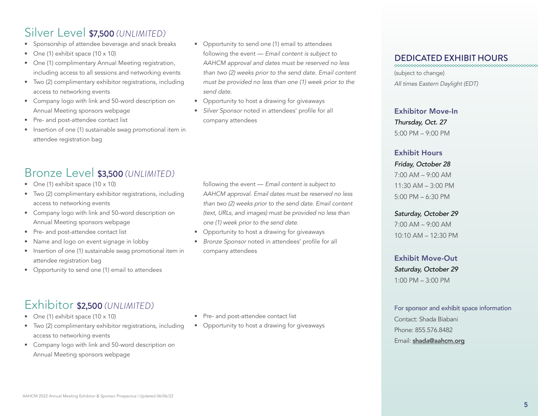# Silver Level \$7,500 *(UNLIMITED)*

- Sponsorship of attendee beverage and snack breaks
- One (1) exhibit space (10 x 10)
- One (1) complimentary Annual Meeting registration, including access to all sessions and networking events
- Two (2) complimentary exhibitor registrations, including access to networking events
- Company logo with link and 50-word description on Annual Meeting sponsors webpage
- Pre- and post-attendee contact list
- Insertion of one (1) sustainable swag promotional item in attendee registration bag
- Opportunity to send one (1) email to attendees following the event — Email content is subject to AAHCM approval and dates must be reserved no less than two (2) weeks prior to the send date. Email content must be provided no less than one (1) week prior to the *send date.*
- Opportunity to host a drawing for giveaways
- *Silver Sponsor* noted in attendees' profile for all company attendees

following the event — Email content is subject to AAHCM approval. Email dates must be reserved no less than two (2) weeks prior to the send date. Email content (text, URLs, and images) must be provided no less than

### DEDICATED EXHIBIT HOURS

(subject to change) All times Eastern Daylight (EDT)

#### Exhibitor Move-In

*Thursday, Oct. 27* 5:00 PM – 9:00 PM

#### Exhibit Hours

#### *Friday, October 28*

7:00 AM – 9:00 AM  $11:30$  AM  $- 3:00$  PM 5:00 PM – 6:30 PM

#### *Saturday, October 29*

7:00 AM – 9:00 AM 10:10 AM – 12:30 PM

#### Exhibit Move-Out

*Saturday, October 29* 1:00 PM – 3:00 PM

#### For sponsor and exhibit space information

Contact: Shada Biabani Phone: 855.576.8482 Email: shada@aahcm.org

# Bronze Level \$3,500 *(UNLIMITED)*

- One (1) exhibit space (10 x 10)
- Two (2) complimentary exhibitor registrations, including access to networking events
- Company logo with link and 50-word description on Annual Meeting sponsors webpage
- Pre- and post-attendee contact list
- Name and logo on event signage in lobby
- Insertion of one (1) sustainable swag promotional item in attendee registration bag
- Opportunity to send one (1) email to attendees

# Exhibitor \$2,500 *(UNLIMITED)*

- One (1) exhibit space (10 x 10)
- Two (2) complimentary exhibitor registrations, including access to networking events
- Company logo with link and 50-word description on Annual Meeting sponsors webpage
- Pre- and post-attendee contact list

one (1) week prior to the send date. • Opportunity to host a drawing for giveaways • *Bronze Sponsor* noted in attendees' profile for all

company attendees

• Opportunity to host a drawing for giveaways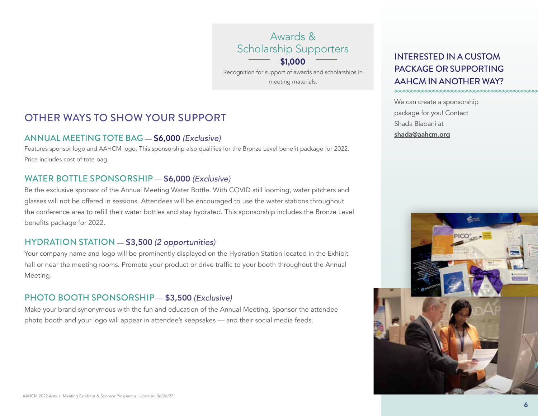Awards & Scholarship Supporters

**\$1,000**

Recognition for support of awards and scholarships in meeting materials.

### OTHER WAYS TO SHOW YOUR SUPPORT

### ANNUAL MEETING TOTE BAG — \$6,000 *(Exclusive)*

Features sponsor logo and AAHCM logo. This sponsorship also qualifies for the Bronze Level benefit package for 2022. Price includes cost of tote bag.

### WATER BOTTLE SPONSORSHIP — \$6,000 *(Exclusive)*

Be the exclusive sponsor of the Annual Meeting Water Bottle. With COVID still looming, water pitchers and glasses will not be offered in sessions. Attendees will be encouraged to use the water stations throughout the conference area to refill their water bottles and stay hydrated. This sponsorship includes the Bronze Level benefits package for 2022.

### HYDRATION STATION — \$3,500 *(2 opportunities)*

Your company name and logo will be prominently displayed on the Hydration Station located in the Exhibit hall or near the meeting rooms. Promote your product or drive traffic to your booth throughout the Annual Meeting.

### PHOTO BOOTH SPONSORSHIP — \$3,500 *(Exclusive)*

Make your brand synonymous with the fun and education of the Annual Meeting. Sponsor the attendee photo booth and your logo will appear in attendee's keepsakes — and their social media feeds.

### INTERESTED IN A CUSTOM PACKAGE OR SUPPORTING AAHCM IN ANOTHER WAY?

We can create a sponsorship package for you! Contact Shada Biabani at shada@aahcm.org